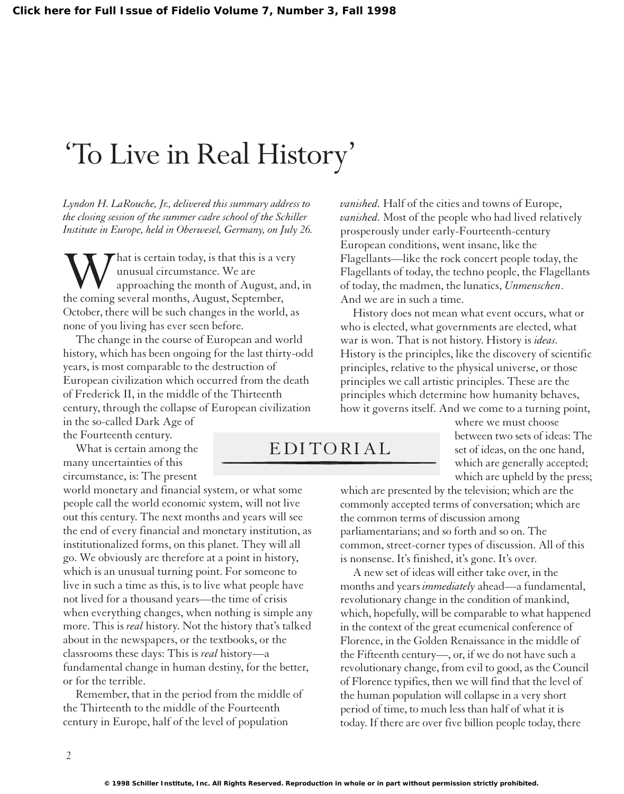## 'To Live in Real History'

*Lyndon H. LaRouche, Jr., delivered this summary address to the closing session of the summer cadre school of the Schiller Institute in Europe, held in Oberwesel, Germany, on July 26.*

What is certain today, is that this is a very<br>unusual circumstance. We are<br>the coming several months, August, September, unusual circumstance. We are approaching the month of August, and, in October, there will be such changes in the world, as none of you living has ever seen before.

The change in the course of European and world history, which has been ongoing for the last thirty-odd years, is most comparable to the destruction of European civilization which occurred from the death of Frederick II, in the middle of the Thirteenth century, through the collapse of European civilization in the so-called Dark Age of

the Fourteenth century.

What is certain among the many uncertainties of this circumstance, is: The present

world monetary and financial system, or what some people call the world economic system, will not live out this century. The next months and years will see the end of every financial and monetary institution, as institutionalized forms, on this planet. They will all go. We obviously are therefore at a point in history, which is an unusual turning point. For someone to live in such a time as this, is to live what people have not lived for a thousand years—the time of crisis when everything changes, when nothing is simple any more. This is *real* history. Not the history that's talked about in the newspapers, or the textbooks, or the classrooms these days: This is *real* history—a fundamental change in human destiny, for the better, or for the terrible.

Remember, that in the period from the middle of the Thirteenth to the middle of the Fourteenth century in Europe, half of the level of population

*vanished.* Half of the cities and towns of Europe, *vanished.* Most of the people who had lived relatively prosperously under early-Fourteenth-century European conditions, went insane, like the Flagellants—like the rock concert people today, the Flagellants of today, the techno people, the Flagellants of today, the madmen, the lunatics, *Unmenschen*. And we are in such a time.

History does not mean what event occurs, what or who is elected, what governments are elected, what war is won. That is not history. History is *ideas.* History is the principles, like the discovery of scientific principles, relative to the physical universe, or those principles we call artistic principles. These are the principles which determine how humanity behaves, how it governs itself. And we come to a turning point,

## EDITORIAL

where we must choose between two sets of ideas: The set of ideas, on the one hand, which are generally accepted; which are upheld by the press;

which are presented by the television; which are the commonly accepted terms of conversation; which are the common terms of discussion among parliamentarians; and so forth and so on. The common, street-corner types of discussion. All of this is nonsense. It's finished, it's gone. It's over.

A new set of ideas will either take over, in the months and years *immediately* ahead—a fundamental, revolutionary change in the condition of mankind, which, hopefully, will be comparable to what happened in the context of the great ecumenical conference of Florence, in the Golden Renaissance in the middle of the Fifteenth century—, or, if we do not have such a revolutionary change, from evil to good, as the Council of Florence typifies, then we will find that the level of the human population will collapse in a very short period of time, to much less than half of what it is today. If there are over five billion people today, there